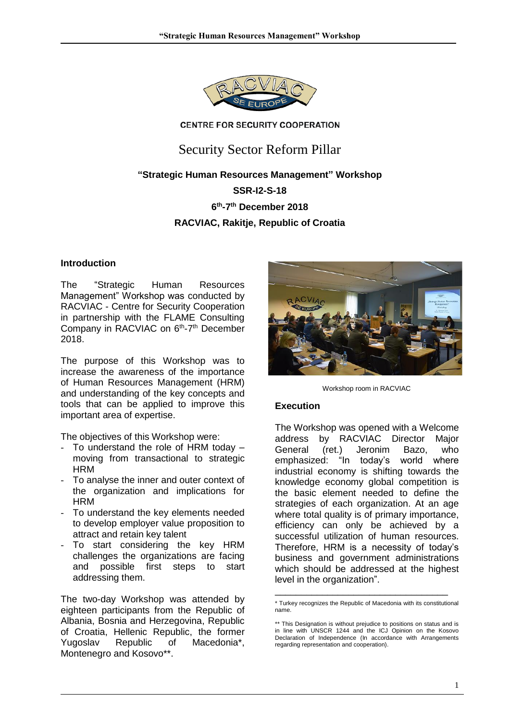

#### **CENTRE FOR SECURITY COOPERATION**

## Security Sector Reform Pillar

# **"Strategic Human Resources Management" Workshop SSR-I2-S-18 6 th -7 th December 2018 RACVIAC, Rakitje, Republic of Croatia**

#### **Introduction**

The "Strategic Human Resources Management" Workshop was conducted by RACVIAC - Centre for Security Cooperation in partnership with the FLAME Consulting Company in RACVIAC on 6<sup>th</sup>-7<sup>th</sup> December 2018.

The purpose of this Workshop was to increase the awareness of the importance of Human Resources Management (HRM) and understanding of the key concepts and tools that can be applied to improve this important area of expertise.

The objectives of this Workshop were:

- To understand the role of HRM today moving from transactional to strategic **HRM**
- To analyse the inner and outer context of the organization and implications for HRM
- To understand the key elements needed to develop employer value proposition to attract and retain key talent
- To start considering the key HRM challenges the organizations are facing and possible first steps to start addressing them.

The two-day Workshop was attended by eighteen participants from the Republic of Albania, Bosnia and Herzegovina, Republic of Croatia, Hellenic Republic, the former Yugoslav Republic of Macedonia\*, Montenegro and Kosovo\*\*.



Workshop room in RACVIAC

#### **Execution**

The Workshop was opened with a Welcome address by RACVIAC Director Major General (ret.) Jeronim Bazo, who emphasized: "In today's world where industrial economy is shifting towards the knowledge economy global competition is the basic element needed to define the strategies of each organization. At an age where total quality is of primary importance, efficiency can only be achieved by a successful utilization of human resources. Therefore, HRM is a necessity of today's business and government administrations which should be addressed at the highest level in the organization".

\_\_\_\_\_\_\_\_\_\_\_\_\_\_\_\_\_\_\_\_\_\_\_\_\_\_\_\_\_\_\_\_\_

<sup>\*</sup> Turkey recognizes the Republic of Macedonia with its constitutional name.

<sup>\*\*</sup> This Designation is without prejudice to positions on status and is in line with UNSCR 1244 and the ICJ Opinion on the Kosovo Declaration of Independence (In accordance with Arrangements regarding representation and cooperation).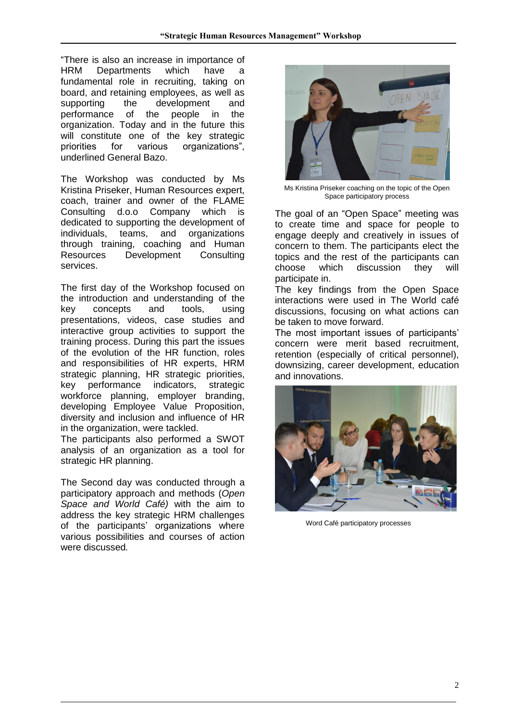"There is also an increase in importance of HRM Departments which have a fundamental role in recruiting, taking on board, and retaining employees, as well as supporting the development and performance of the people in the organization. Today and in the future this will constitute one of the key strategic priorities for various organizations", underlined General Bazo.

The Workshop was conducted by Ms Kristina Priseker, Human Resources expert, coach, trainer and owner of the FLAME Consulting d.o.o Company which is dedicated to supporting the development of individuals, teams, and organizations through training, coaching and Human Resources Development Consulting services.

The first day of the Workshop focused on the introduction and understanding of the key concepts and tools, using presentations, videos, case studies and interactive group activities to support the training process. During this part the issues of the evolution of the HR function, roles and responsibilities of HR experts, HRM strategic planning, HR strategic priorities, key performance indicators, strategic workforce planning, employer branding, developing Employee Value Proposition, diversity and inclusion and influence of HR in the organization, were tackled.

The participants also performed a SWOT analysis of an organization as a tool for strategic HR planning.

The Second day was conducted through a participatory approach and methods (*Open Space and World Café)* with the aim to address the key strategic HRM challenges of the participants' organizations where various possibilities and courses of action were discussed*.*



Ms Kristina Priseker coaching on the topic of the Open Space participatory process

The goal of an "Open Space" meeting was to create time and space for people to engage deeply and creatively in issues of concern to them. The participants elect the topics and the rest of the participants can choose which discussion they will participate in.

The key findings from the Open Space interactions were used in The World café discussions, focusing on what actions can be taken to move forward.

The most important issues of participants' concern were merit based recruitment, retention (especially of critical personnel), downsizing, career development, education and innovations.



Word Café participatory processes